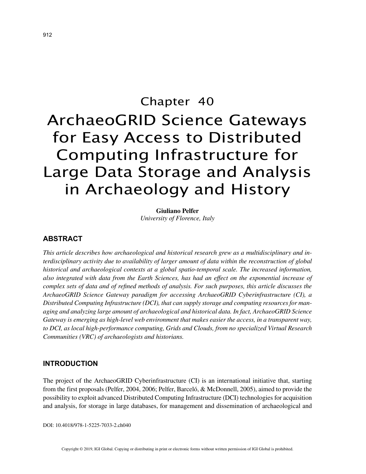# Chapter 40 ArchaeoGRID Science Gateways for Easy Access to Distributed Computing Infrastructure for Large Data Storage and Analysis in Archaeology and History

**Giuliano Pelfer** *University of Florence, Italy*

## **ABSTRACT**

*This article describes how archaeological and historical research grew as a multidisciplinary and interdisciplinary activity due to availability of larger amount of data within the reconstruction of global historical and archaeological contexts at a global spatio-temporal scale. The increased information, also integrated with data from the Earth Sciences, has had an effect on the exponential increase of complex sets of data and of refined methods of analysis. For such purposes, this article discusses the ArchaeoGRID Science Gateway paradigm for accessing ArchaeoGRID Cyberinfrastructure (CI), a Distributed Computing Infrastructure (DCI), that can supply storage and computing resources for managing and analyzing large amount of archaeological and historical data. In fact, ArchaeoGRID Science Gateway is emerging as high-level web environment that makes easier the access, in a transparent way, to DCI, as local high-performance computing, Grids and Clouds, from no specialized Virtual Research Communities (VRC) of archaeologists and historians.*

## **INTRODUCTION**

The project of the ArchaeoGRID Cyberinfrastructure (CI) is an international initiative that, starting from the first proposals (Pelfer, 2004, 2006; Pelfer, Barceló, & McDonnell, 2005), aimed to provide the possibility to exploit advanced Distributed Computing Infrastructure (DCI) technologies for acquisition and analysis, for storage in large databases, for management and dissemination of archaeological and

DOI: 10.4018/978-1-5225-7033-2.ch040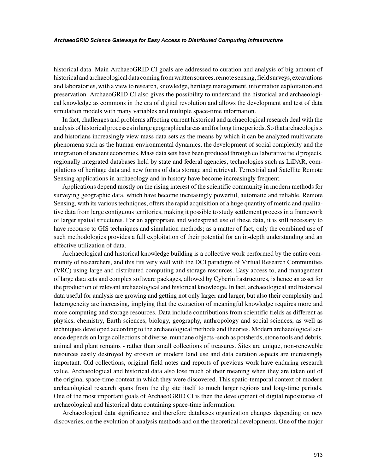#### *ArchaeoGRID Science Gateways for Easy Access to Distributed Computing Infrastructure*

historical data. Main ArchaeoGRID CI goals are addressed to curation and analysis of big amount of historical and archaeological data coming from written sources, remote sensing, field surveys, excavations and laboratories, with a view to research, knowledge, heritage management, information exploitation and preservation. ArchaeoGRID CI also gives the possibility to understand the historical and archaeological knowledge as commons in the era of digital revolution and allows the development and test of data simulation models with many variables and multiple space-time information.

In fact, challenges and problems affecting current historical and archaeological research deal with the analysis of historical processes in large geographical areas and for long time periods. So that archaeologists and historians increasingly view mass data sets as the means by which it can be analyzed multivariate phenomena such as the human-environmental dynamics, the development of social complexity and the integration of ancient economies. Mass data sets have been produced through collaborative field projects, regionally integrated databases held by state and federal agencies, technologies such as LiDAR, compilations of heritage data and new forms of data storage and retrieval. Terrestrial and Satellite Remote Sensing applications in archaeology and in history have become increasingly frequent.

Applications depend mostly on the rising interest of the scientific community in modern methods for surveying geographic data, which have become increasingly powerful, automatic and reliable. Remote Sensing, with its various techniques, offers the rapid acquisition of a huge quantity of metric and qualitative data from large contiguous territories, making it possible to study settlement process in a framework of larger spatial structures. For an appropriate and widespread use of these data, it is still necessary to have recourse to GIS techniques and simulation methods; as a matter of fact, only the combined use of such methodologies provides a full exploitation of their potential for an in-depth understanding and an effective utilization of data.

Archaeological and historical knowledge building is a collective work performed by the entire community of researchers, and this fits very well with the DCI paradigm of Virtual Research Communities (VRC) using large and distributed computing and storage resources. Easy access to, and management of large data sets and complex software packages, allowed by Cyberinfrastructures, is hence an asset for the production of relevant archaeological and historical knowledge. In fact, archaeological and historical data useful for analysis are growing and getting not only larger and larger, but also their complexity and heterogeneity are increasing, implying that the extraction of meaningful knowledge requires more and more computing and storage resources. Data include contributions from scientific fields as different as physics, chemistry, Earth sciences, biology, geography, anthropology and social sciences, as well as techniques developed according to the archaeological methods and theories. Modern archaeological science depends on large collections of diverse, mundane objects -such as potsherds, stone tools and debris, animal and plant remains - rather than small collections of treasures. Sites are unique, non-renewable resources easily destroyed by erosion or modern land use and data curation aspects are increasingly important. Old collections, original field notes and reports of previous work have enduring research value. Archaeological and historical data also lose much of their meaning when they are taken out of the original space-time context in which they were discovered. This spatio-temporal context of modern archaeological research spans from the dig site itself to much larger regions and long-time periods. One of the most important goals of ArchaeoGRID CI is then the development of digital repositories of archaeological and historical data containing space-time information.

Archaeological data significance and therefore databases organization changes depending on new discoveries, on the evolution of analysis methods and on the theoretical developments. One of the major